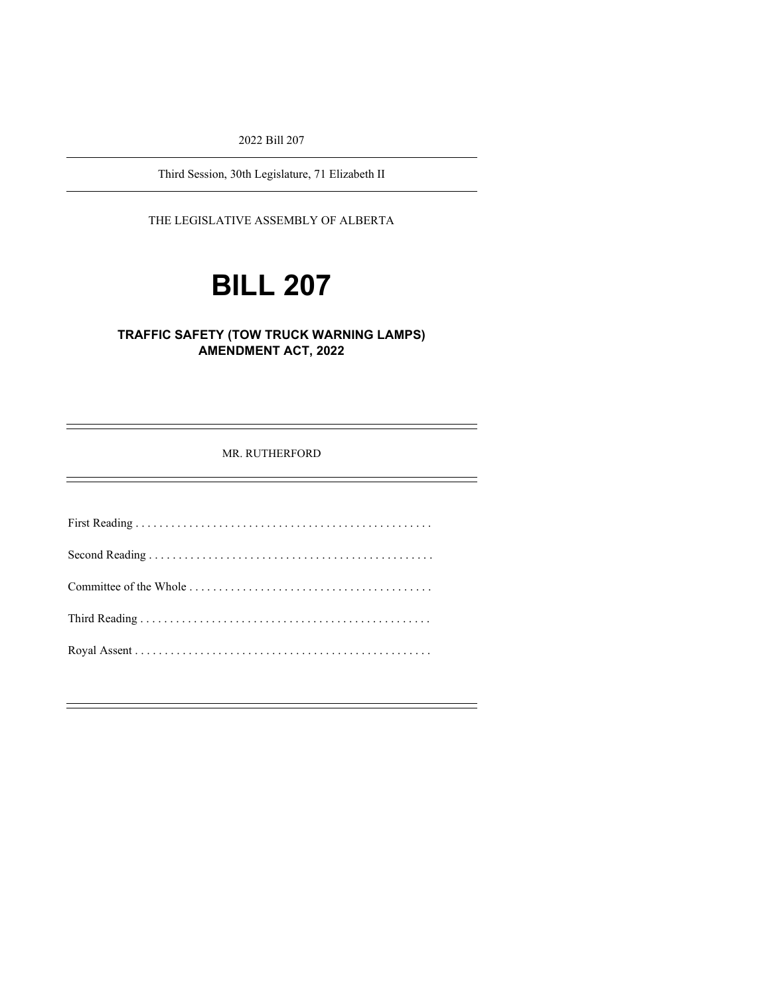2022 Bill 207

Third Session, 30th Legislature, 71 Elizabeth II

THE LEGISLATIVE ASSEMBLY OF ALBERTA

# **BILL 207**

#### **TRAFFIC SAFETY (TOW TRUCK WARNING LAMPS) AMENDMENT ACT, 2022**

MR. RUTHERFORD

First Reading . . . . . . . . . . . . . . . . . . . . . . . . . . . . . . . . . . . . . . . . . . . . . . . . . . Second Reading . . . . . . . . . . . . . . . . . . . . . . . . . . . . . . . . . . . . . . . . . . . . . . . . Committee of the Whole . . . . . . . . . . . . . . . . . . . . . . . . . . . . . . . . . . . . . . . . . Third Reading . . . . . . . . . . . . . . . . . . . . . . . . . . . . . . . . . . . . . . . . . . . . . . . . . Royal Assent . . . . . . . . . . . . . . . . . . . . . . . . . . . . . . . . . . . . . . . . . . . . . . . . . .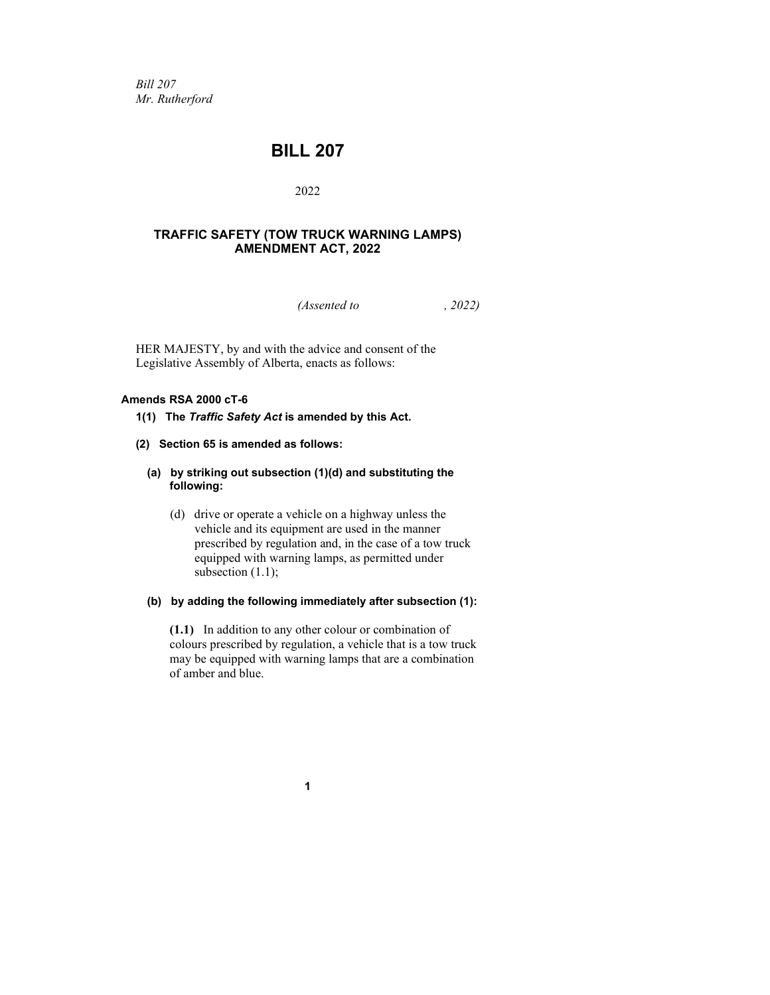*Bill 207 Mr. Rutherford*

### **BILL 207**

#### 2022

#### **TRAFFIC SAFETY (TOW TRUCK WARNING LAMPS) AMENDMENT ACT, 2022**

*(Assented to , 2022)*

HER MAJESTY, by and with the advice and consent of the Legislative Assembly of Alberta, enacts as follows:

#### **Amends RSA 2000 cT-6**

#### **1(1) The** *Traffic Safety Act* **is amended by this Act.**

**(2) Section 65 is amended as follows:**

#### **(a) by striking out subsection (1)(d) and substituting the following:**

(d) drive or operate a vehicle on a highway unless the vehicle and its equipment are used in the manner prescribed by regulation and, in the case of a tow truck equipped with warning lamps, as permitted under subsection (1.1);

#### **(b) by adding the following immediately after subsection (1):**

**(1.1)** In addition to any other colour or combination of colours prescribed by regulation, a vehicle that is a tow truck may be equipped with warning lamps that are a combination of amber and blue.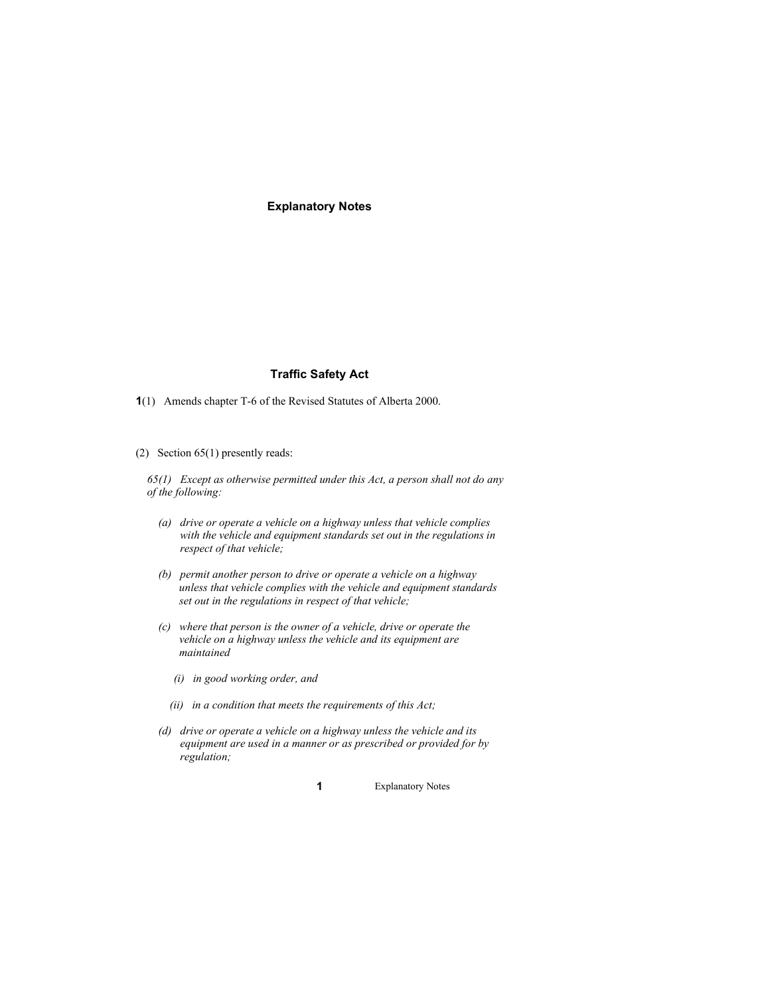**Explanatory Notes**

#### **Traffic Safety Act**

- **1**(1) Amends chapter T-6 of the Revised Statutes of Alberta 2000.
- (2) Section 65(1) presently reads:

*65(1) Except as otherwise permitted under this Act, a person shall not do any of the following:*

- *(a) drive or operate a vehicle on a highway unless that vehicle complies with the vehicle and equipment standards set out in the regulations in respect of that vehicle;*
- *(b) permit another person to drive or operate a vehicle on a highway unless that vehicle complies with the vehicle and equipment standards set out in the regulations in respect of that vehicle;*
- *(c) where that person is the owner of a vehicle, drive or operate the vehicle on a highway unless the vehicle and its equipment are maintained*
	- *(i) in good working order, and*
	- *(ii) in a condition that meets the requirements of this Act;*
- *(d) drive or operate a vehicle on a highway unless the vehicle and its equipment are used in a manner or as prescribed or provided for by regulation;*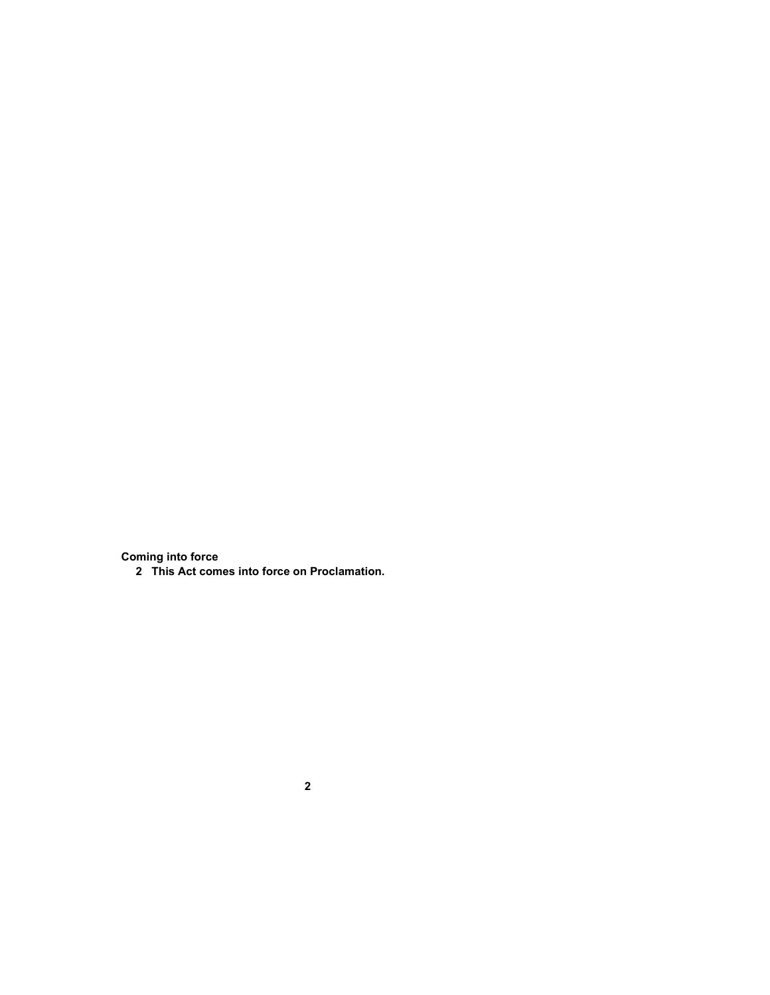**Coming into force**

**This Act comes into force on Proclamation.**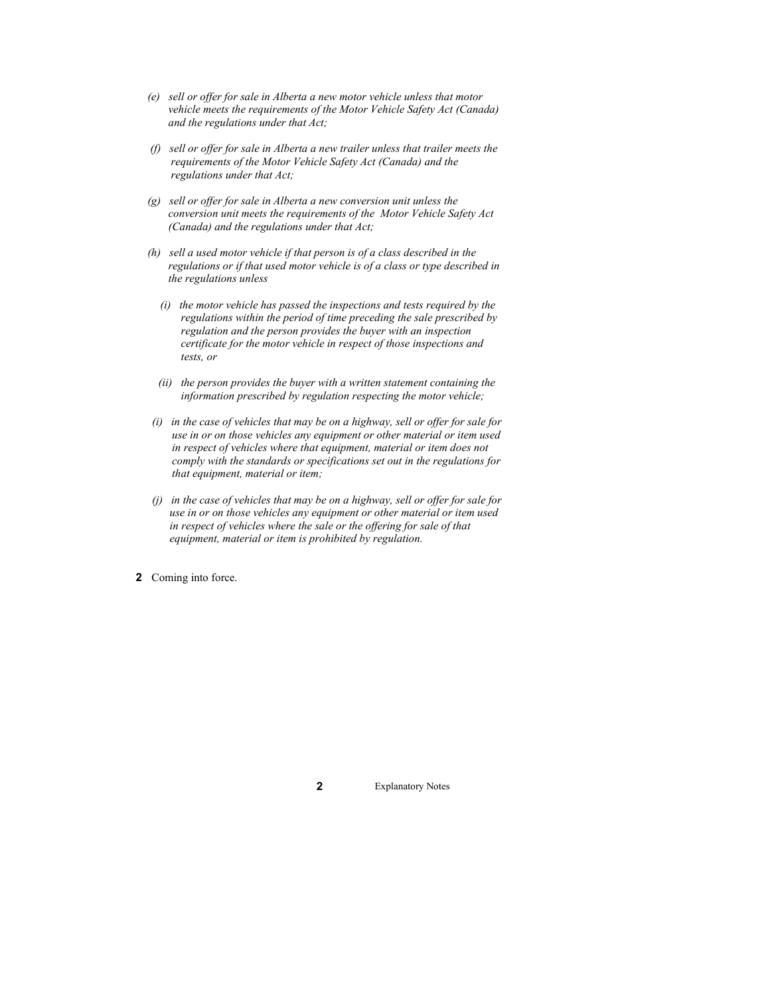- *(e) sell or offer for sale in Alberta a new motor vehicle unless that motor vehicle meets the requirements of the Motor Vehicle Safety Act (Canada) and the regulations under that Act;*
- *(f) sell or offer for sale in Alberta a new trailer unless that trailer meets the requirements of the Motor Vehicle Safety Act (Canada) and the regulations under that Act;*
- *(g) sell or offer for sale in Alberta a new conversion unit unless the conversion unit meets the requirements of the Motor Vehicle Safety Act (Canada) and the regulations under that Act;*
- *(h) sell a used motor vehicle if that person is of a class described in the regulations or if that used motor vehicle is of a class or type described in the regulations unless*
	- *(i) the motor vehicle has passed the inspections and tests required by the regulations within the period of time preceding the sale prescribed by regulation and the person provides the buyer with an inspection certificate for the motor vehicle in respect of those inspections and tests, or*
	- *(ii) the person provides the buyer with a written statement containing the information prescribed by regulation respecting the motor vehicle;*
- *(i) in the case of vehicles that may be on a highway, sell or offer for sale for use in or on those vehicles any equipment or other material or item used in respect of vehicles where that equipment, material or item does not comply with the standards or specifications set out in the regulations for that equipment, material or item;*
- *(j) in the case of vehicles that may be on a highway, sell or offer for sale for use in or on those vehicles any equipment or other material or item used in respect of vehicles where the sale or the offering for sale of that equipment, material or item is prohibited by regulation.*
- **2** Coming into force.